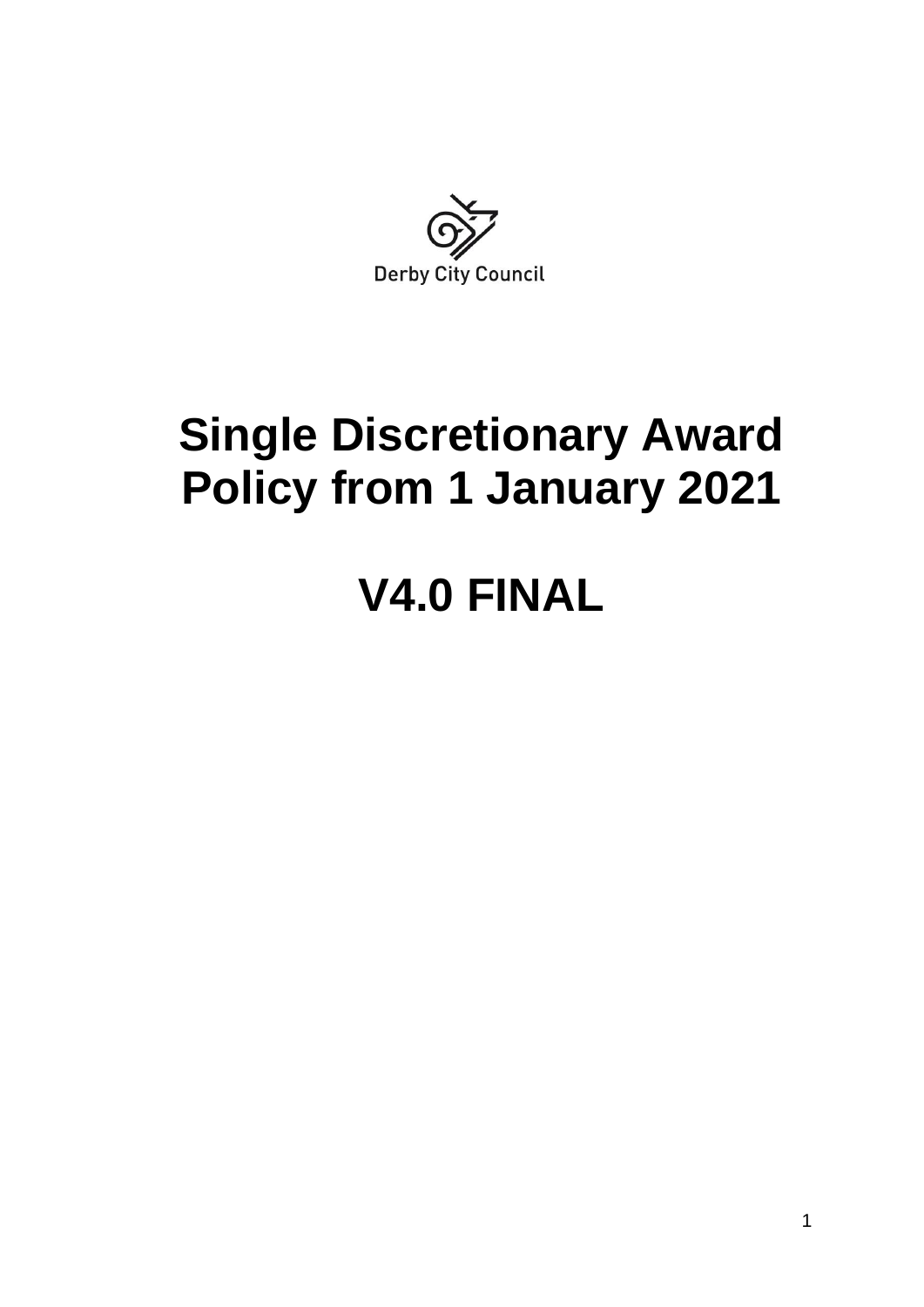

# **Single Discretionary Award Policy from 1 January 2021**

# **V4.0 FINAL**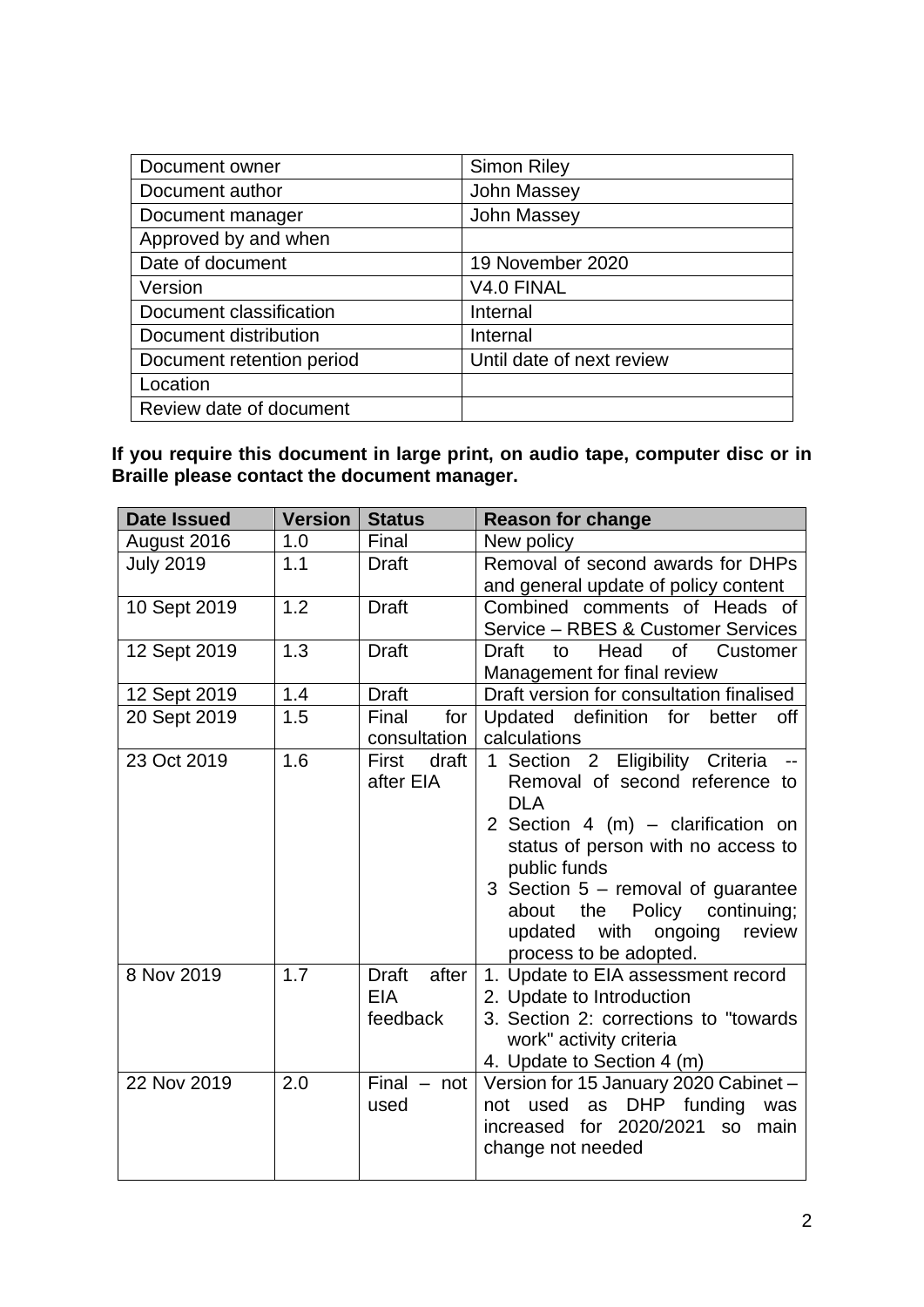| Document owner            | <b>Simon Riley</b>        |
|---------------------------|---------------------------|
| Document author           | <b>John Massey</b>        |
| Document manager          | <b>John Massey</b>        |
| Approved by and when      |                           |
| Date of document          | 19 November 2020          |
| Version                   | V4.0 FINAL                |
| Document classification   | Internal                  |
| Document distribution     | Internal                  |
| Document retention period | Until date of next review |
| Location                  |                           |
| Review date of document   |                           |

**If you require this document in large print, on audio tape, computer disc or in Braille please contact the document manager.**

| <b>Date Issued</b> | <b>Version</b> | <b>Status</b>                                   | <b>Reason for change</b>                                                                                                                                                                                                                                                                                               |  |
|--------------------|----------------|-------------------------------------------------|------------------------------------------------------------------------------------------------------------------------------------------------------------------------------------------------------------------------------------------------------------------------------------------------------------------------|--|
| August 2016        | 1.0            | Final                                           | New policy                                                                                                                                                                                                                                                                                                             |  |
| <b>July 2019</b>   | 1.1            | <b>Draft</b>                                    | Removal of second awards for DHPs<br>and general update of policy content                                                                                                                                                                                                                                              |  |
| 10 Sept 2019       | 1.2            | <b>Draft</b>                                    | Combined comments of Heads of<br>Service - RBES & Customer Services                                                                                                                                                                                                                                                    |  |
| 12 Sept 2019       | 1.3            | <b>Draft</b>                                    | <b>Draft</b><br><b>of</b><br>Customer<br>to<br>Head<br>Management for final review                                                                                                                                                                                                                                     |  |
| 12 Sept 2019       | 1.4            | <b>Draft</b>                                    | Draft version for consultation finalised                                                                                                                                                                                                                                                                               |  |
| 20 Sept 2019       | 1.5            | Final<br>for<br>consultation                    | Updated definition for<br>better<br>off<br>calculations                                                                                                                                                                                                                                                                |  |
| 23 Oct 2019        | 1.6            | First<br>draft<br>after EIA                     | 1 Section 2 Eligibility Criteria<br>Removal of second reference to<br><b>DLA</b><br>2 Section 4 (m) $-$ clarification on<br>status of person with no access to<br>public funds<br>3 Section 5 - removal of guarantee<br>Policy continuing;<br>about the<br>with ongoing<br>review<br>updated<br>process to be adopted. |  |
| 8 Nov 2019         | 1.7            | <b>Draft</b><br>after<br><b>EIA</b><br>feedback | 1. Update to EIA assessment record<br>2. Update to Introduction<br>3. Section 2: corrections to "towards"<br>work" activity criteria<br>4. Update to Section 4 (m)                                                                                                                                                     |  |
| 22 Nov 2019        | 2.0            | Final $-$ not<br>used                           | Version for 15 January 2020 Cabinet -<br>not used as DHP funding<br>was<br>increased for 2020/2021 so<br>main<br>change not needed                                                                                                                                                                                     |  |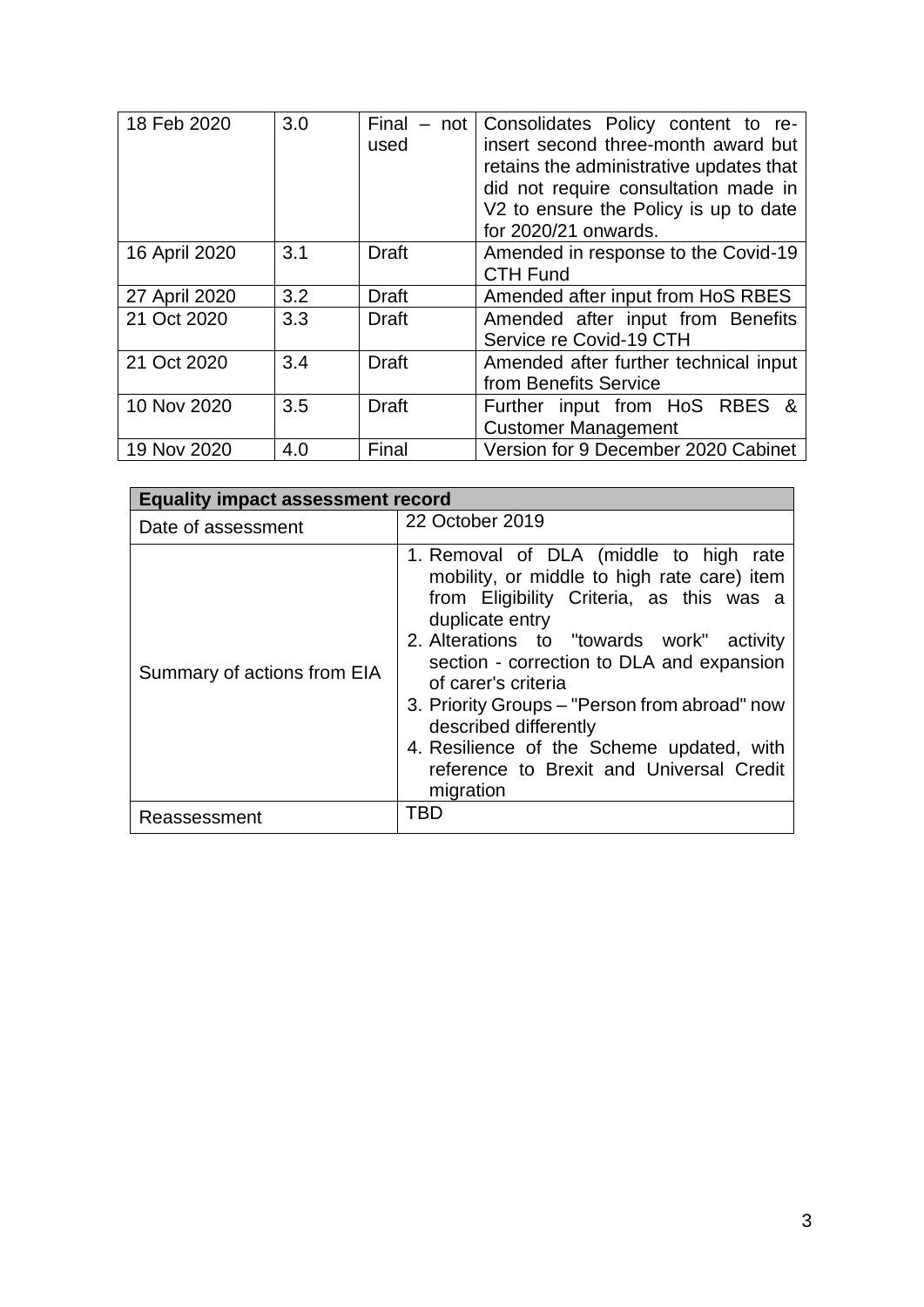| 18 Feb 2020   | 3.0 | Final<br>$-$ not | Consolidates Policy content to re-      |  |
|---------------|-----|------------------|-----------------------------------------|--|
|               |     | used             | insert second three-month award but     |  |
|               |     |                  | retains the administrative updates that |  |
|               |     |                  | did not require consultation made in    |  |
|               |     |                  | V2 to ensure the Policy is up to date   |  |
|               |     |                  | for 2020/21 onwards.                    |  |
| 16 April 2020 | 3.1 | Draft            | Amended in response to the Covid-19     |  |
|               |     |                  | <b>CTH Fund</b>                         |  |
| 27 April 2020 | 3.2 | <b>Draft</b>     | Amended after input from HoS RBES       |  |
| 21 Oct 2020   | 3.3 | Draft            | Amended after input from Benefits       |  |
|               |     |                  | Service re Covid-19 CTH                 |  |
| 21 Oct 2020   | 3.4 | <b>Draft</b>     | Amended after further technical input   |  |
|               |     |                  | from Benefits Service                   |  |
| 10 Nov 2020   | 3.5 | <b>Draft</b>     | Further input from HoS RBES &           |  |
|               |     |                  | <b>Customer Management</b>              |  |
| 19 Nov 2020   | 4.0 | Final            | Version for 9 December 2020 Cabinet     |  |

| <b>Equality impact assessment record</b> |                                                                                                                                                                                                                                                                                                                                                                                                                                                       |  |  |  |
|------------------------------------------|-------------------------------------------------------------------------------------------------------------------------------------------------------------------------------------------------------------------------------------------------------------------------------------------------------------------------------------------------------------------------------------------------------------------------------------------------------|--|--|--|
| Date of assessment                       | 22 October 2019                                                                                                                                                                                                                                                                                                                                                                                                                                       |  |  |  |
| Summary of actions from EIA              | 1. Removal of DLA (middle to high rate<br>mobility, or middle to high rate care) item<br>from Eligibility Criteria, as this was a<br>duplicate entry<br>2. Alterations to "towards work" activity<br>section - correction to DLA and expansion<br>of carer's criteria<br>3. Priority Groups – "Person from abroad" now<br>described differently<br>4. Resilience of the Scheme updated, with<br>reference to Brexit and Universal Credit<br>migration |  |  |  |
| Reassessment                             | TRD                                                                                                                                                                                                                                                                                                                                                                                                                                                   |  |  |  |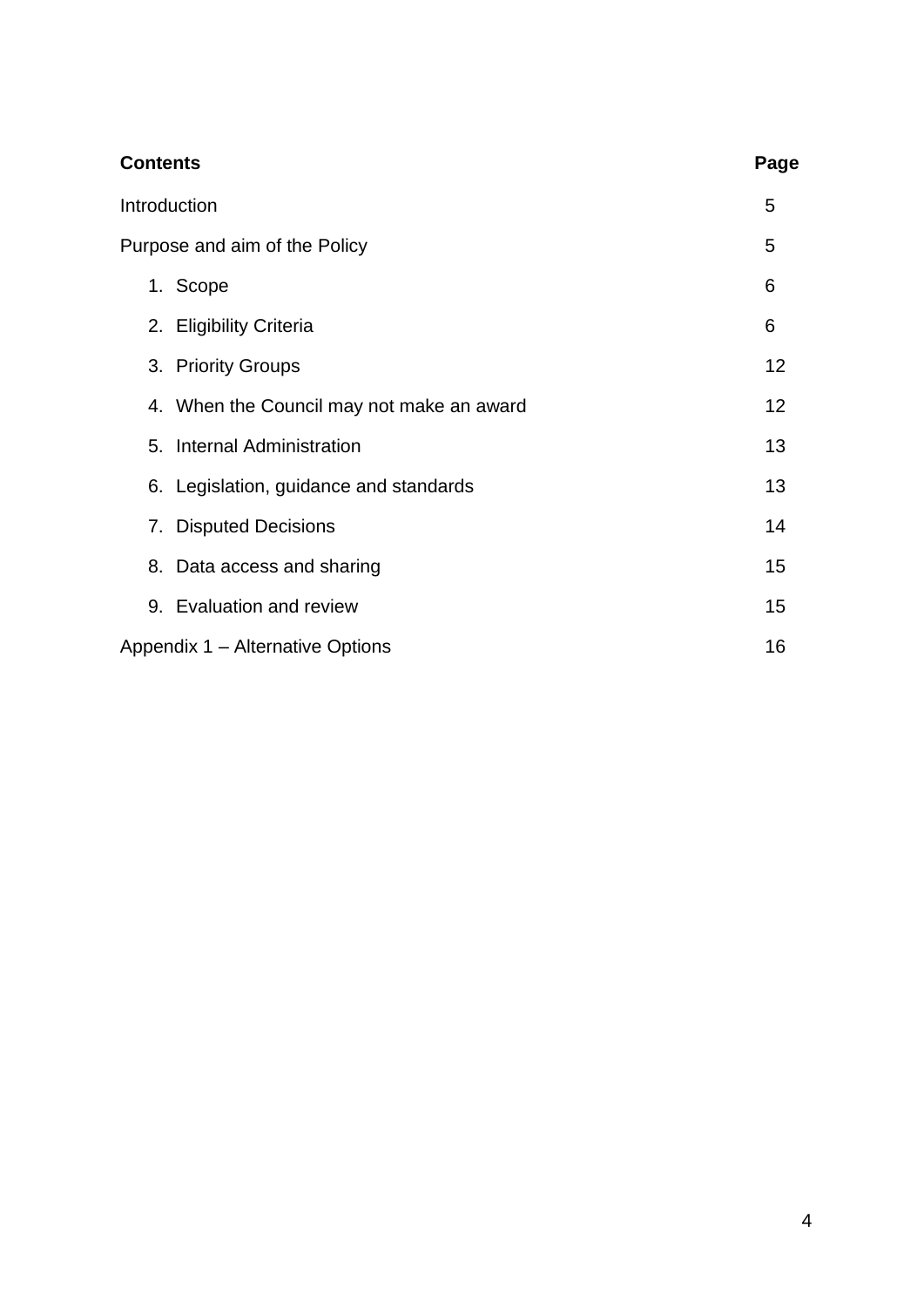| <b>Contents</b>                           | Page |
|-------------------------------------------|------|
| Introduction                              | 5    |
| Purpose and aim of the Policy             | 5    |
| 1. Scope                                  | 6    |
| 2. Eligibility Criteria                   | 6    |
| 3. Priority Groups                        | 12   |
| 4. When the Council may not make an award | 12   |
| 5. Internal Administration                | 13   |
| 6. Legislation, guidance and standards    | 13   |
| 7. Disputed Decisions                     | 14   |
| 8. Data access and sharing                | 15   |
| 9. Evaluation and review                  | 15   |
| Appendix 1 - Alternative Options          | 16   |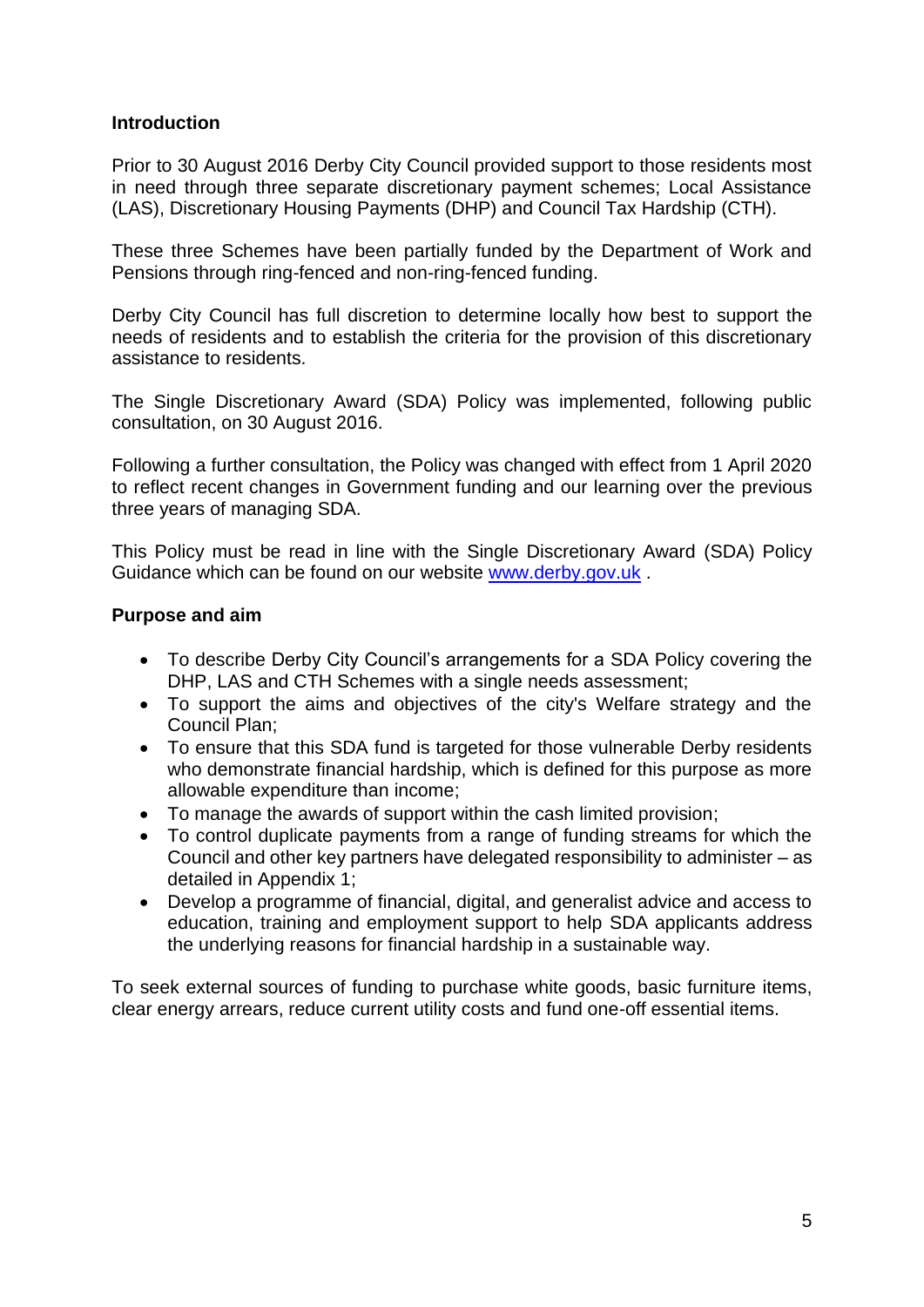#### **Introduction**

Prior to 30 August 2016 Derby City Council provided support to those residents most in need through three separate discretionary payment schemes; Local Assistance (LAS), Discretionary Housing Payments (DHP) and Council Tax Hardship (CTH).

These three Schemes have been partially funded by the Department of Work and Pensions through ring-fenced and non-ring-fenced funding.

Derby City Council has full discretion to determine locally how best to support the needs of residents and to establish the criteria for the provision of this discretionary assistance to residents.

The Single Discretionary Award (SDA) Policy was implemented, following public consultation, on 30 August 2016.

Following a further consultation, the Policy was changed with effect from 1 April 2020 to reflect recent changes in Government funding and our learning over the previous three years of managing SDA.

This Policy must be read in line with the Single Discretionary Award (SDA) Policy Guidance which can be found on our website [www.derby.gov.uk](http://www.derby.gov.uk/) .

#### **Purpose and aim**

- To describe Derby City Council's arrangements for a SDA Policy covering the DHP, LAS and CTH Schemes with a single needs assessment;
- To support the aims and objectives of the city's Welfare strategy and the Council Plan;
- To ensure that this SDA fund is targeted for those vulnerable Derby residents who demonstrate financial hardship, which is defined for this purpose as more allowable expenditure than income;
- To manage the awards of support within the cash limited provision;
- To control duplicate payments from a range of funding streams for which the Council and other key partners have delegated responsibility to administer – as detailed in Appendix 1;
- Develop a programme of financial, digital, and generalist advice and access to education, training and employment support to help SDA applicants address the underlying reasons for financial hardship in a sustainable way.

To seek external sources of funding to purchase white goods, basic furniture items, clear energy arrears, reduce current utility costs and fund one-off essential items.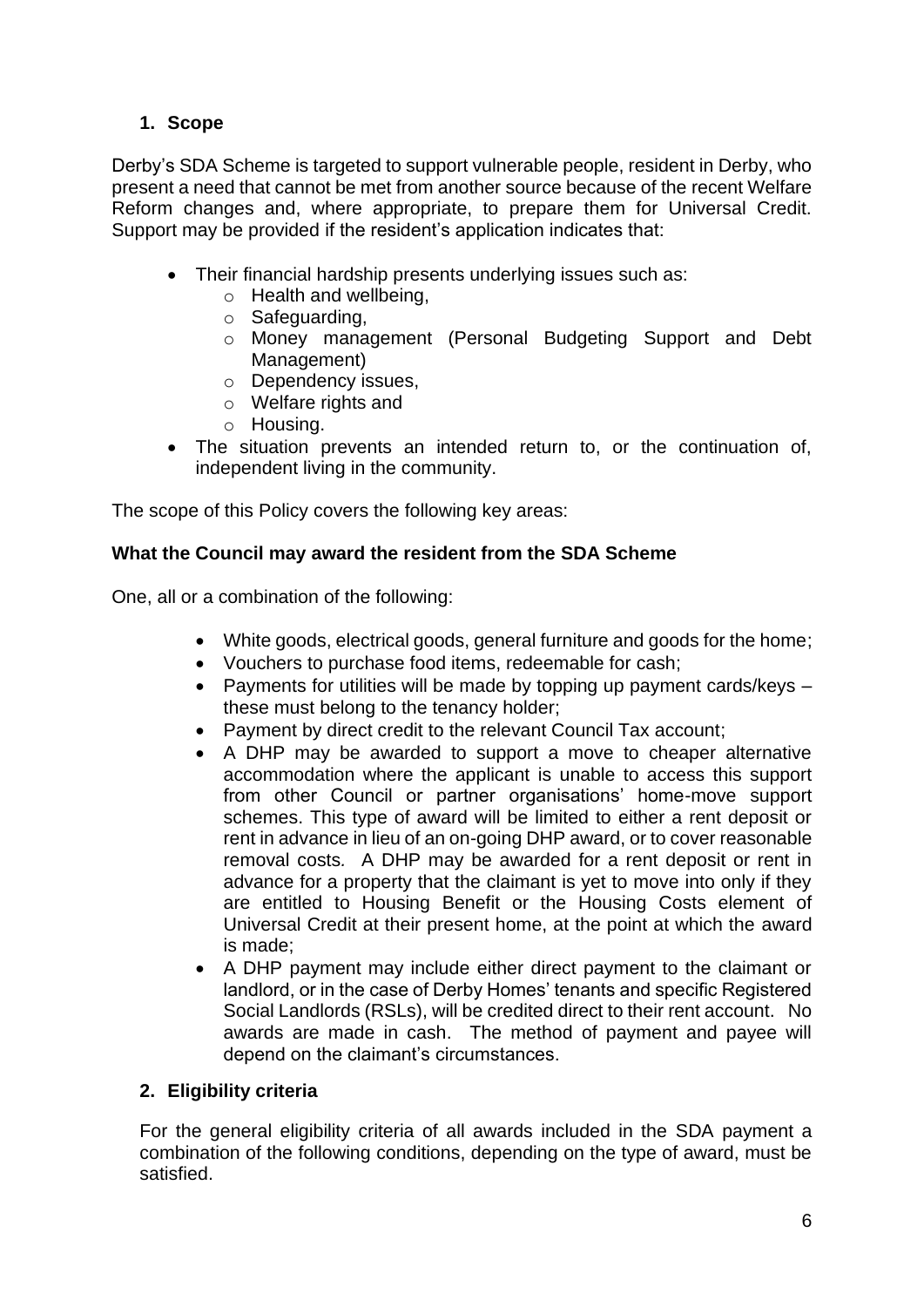# **1. Scope**

Derby's SDA Scheme is targeted to support vulnerable people, resident in Derby, who present a need that cannot be met from another source because of the recent Welfare Reform changes and, where appropriate, to prepare them for Universal Credit. Support may be provided if the resident's application indicates that:

- Their financial hardship presents underlying issues such as:
	- o Health and wellbeing,
	- o Safeguarding,
	- o Money management (Personal Budgeting Support and Debt Management)
	- o Dependency issues,
	- o Welfare rights and
	- o Housing.
- The situation prevents an intended return to, or the continuation of, independent living in the community.

The scope of this Policy covers the following key areas:

## **What the Council may award the resident from the SDA Scheme**

One, all or a combination of the following:

- White goods, electrical goods, general furniture and goods for the home;
- Vouchers to purchase food items, redeemable for cash;
- Payments for utilities will be made by topping up payment cards/keys these must belong to the tenancy holder;
- Payment by direct credit to the relevant Council Tax account;
- A DHP may be awarded to support a move to cheaper alternative accommodation where the applicant is unable to access this support from other Council or partner organisations' home-move support schemes. This type of award will be limited to either a rent deposit or rent in advance in lieu of an on-going DHP award, or to cover reasonable removal costs*.* A DHP may be awarded for a rent deposit or rent in advance for a property that the claimant is yet to move into only if they are entitled to Housing Benefit or the Housing Costs element of Universal Credit at their present home, at the point at which the award is made;
- A DHP payment may include either direct payment to the claimant or landlord, or in the case of Derby Homes' tenants and specific Registered Social Landlords (RSLs), will be credited direct to their rent account. No awards are made in cash. The method of payment and payee will depend on the claimant's circumstances.

## **2. Eligibility criteria**

For the general eligibility criteria of all awards included in the SDA payment a combination of the following conditions, depending on the type of award, must be satisfied.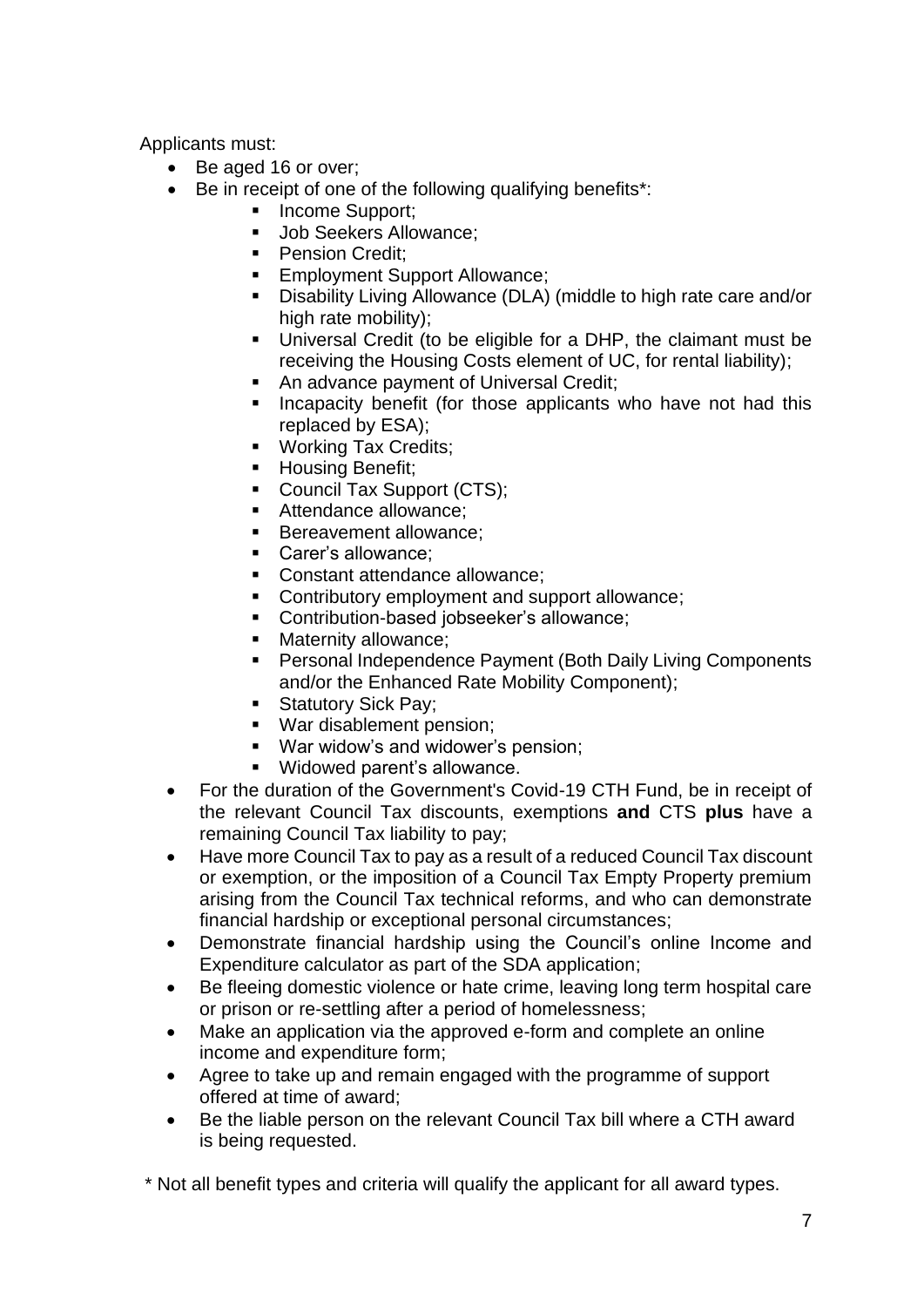Applicants must:

- Be aged 16 or over;
	- Be in receipt of one of the following qualifying benefits\*:
		- Income Support;
		- **Job Seekers Allowance:**
		- Pension Credit:
		- **Employment Support Allowance;**
		- Disability Living Allowance (DLA) (middle to high rate care and/or high rate mobility):
		- Universal Credit (to be eligible for a DHP, the claimant must be receiving the Housing Costs element of UC, for rental liability);
		- An advance payment of Universal Credit;
		- **EXT** Incapacity benefit (for those applicants who have not had this replaced by ESA);
		- Working Tax Credits;
		- Housing Benefit:
		- Council Tax Support (CTS);
		- Attendance allowance:
		- Bereavement allowance:
		- Carer's allowance:
		- Constant attendance allowance:
		- Contributory employment and support allowance;
		- Contribution-based jobseeker's allowance;
		- Maternity allowance:
		- Personal Independence Payment (Both Daily Living Components and/or the Enhanced Rate Mobility Component);
		- Statutory Sick Pay;
		- War disablement pension;
		- War widow's and widower's pension;
		- Widowed parent's allowance.
- For the duration of the Government's Covid-19 CTH Fund, be in receipt of the relevant Council Tax discounts, exemptions **and** CTS **plus** have a remaining Council Tax liability to pay;
- Have more Council Tax to pay as a result of a reduced Council Tax discount or exemption, or the imposition of a Council Tax Empty Property premium arising from the Council Tax technical reforms, and who can demonstrate financial hardship or exceptional personal circumstances;
- Demonstrate financial hardship using the Council's online Income and Expenditure calculator as part of the SDA application;
- Be fleeing domestic violence or hate crime, leaving long term hospital care or prison or re-settling after a period of homelessness;
- Make an application via the approved e-form and complete an online income and expenditure form;
- Agree to take up and remain engaged with the programme of support offered at time of award;
- Be the liable person on the relevant Council Tax bill where a CTH award is being requested.

\* Not all benefit types and criteria will qualify the applicant for all award types.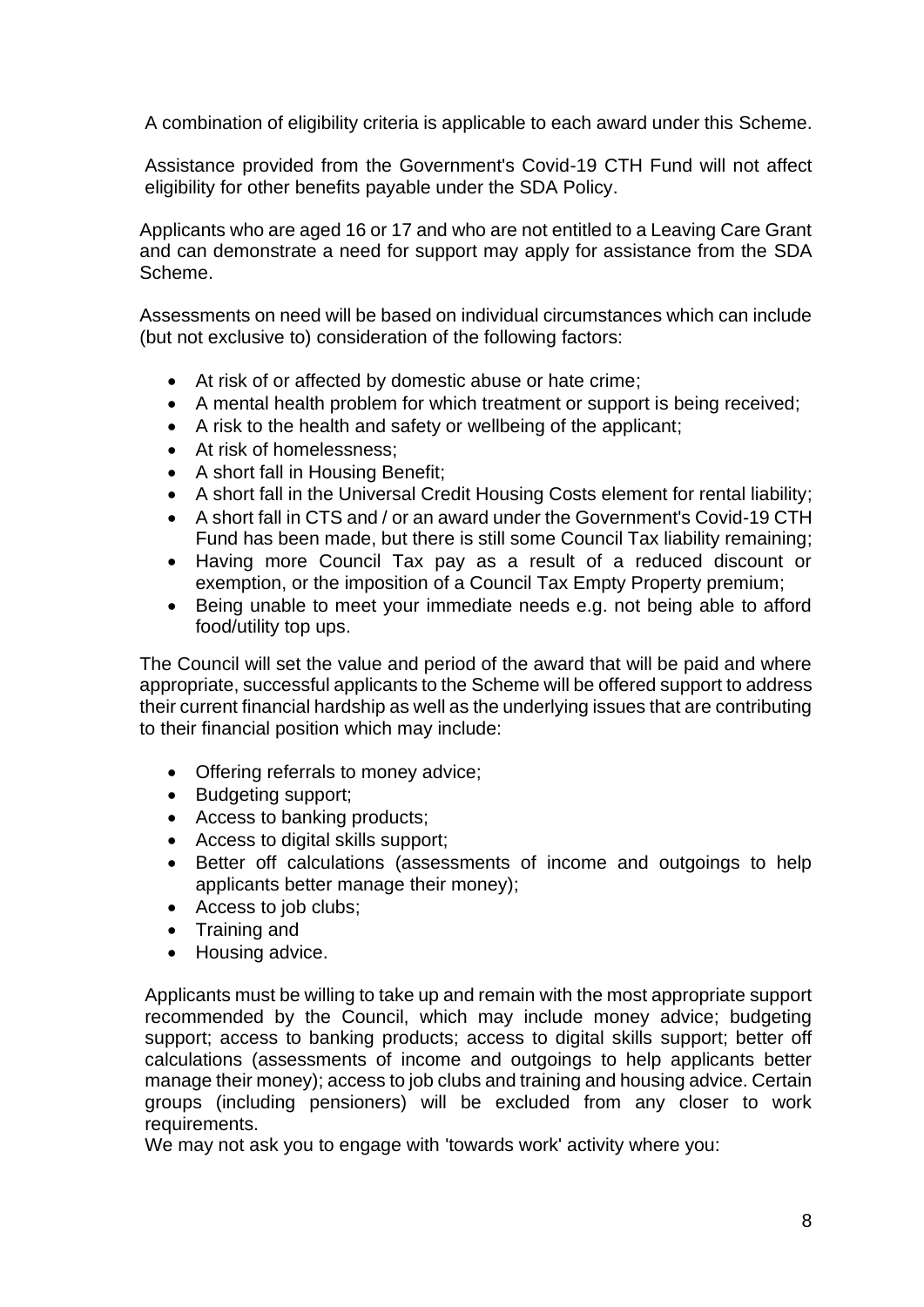A combination of eligibility criteria is applicable to each award under this Scheme.

Assistance provided from the Government's Covid-19 CTH Fund will not affect eligibility for other benefits payable under the SDA Policy.

Applicants who are aged 16 or 17 and who are not entitled to a Leaving Care Grant and can demonstrate a need for support may apply for assistance from the SDA Scheme.

Assessments on need will be based on individual circumstances which can include (but not exclusive to) consideration of the following factors:

- At risk of or affected by domestic abuse or hate crime;
- A mental health problem for which treatment or support is being received;
- A risk to the health and safety or wellbeing of the applicant;
- At risk of homelessness;
- A short fall in Housing Benefit;
- A short fall in the Universal Credit Housing Costs element for rental liability;
- A short fall in CTS and / or an award under the Government's Covid-19 CTH Fund has been made, but there is still some Council Tax liability remaining;
- Having more Council Tax pay as a result of a reduced discount or exemption, or the imposition of a Council Tax Empty Property premium;
- Being unable to meet your immediate needs e.g. not being able to afford food/utility top ups.

The Council will set the value and period of the award that will be paid and where appropriate, successful applicants to the Scheme will be offered support to address their current financial hardship as well as the underlying issues that are contributing to their financial position which may include:

- Offering referrals to money advice;
- Budgeting support;
- Access to banking products;
- Access to digital skills support;
- Better off calculations (assessments of income and outgoings to help applicants better manage their money);
- Access to job clubs;
- Training and
- Housing advice.

Applicants must be willing to take up and remain with the most appropriate support recommended by the Council, which may include money advice; budgeting support; access to banking products; access to digital skills support; better off calculations (assessments of income and outgoings to help applicants better manage their money); access to job clubs and training and housing advice. Certain groups (including pensioners) will be excluded from any closer to work requirements.

We may not ask you to engage with 'towards work' activity where you: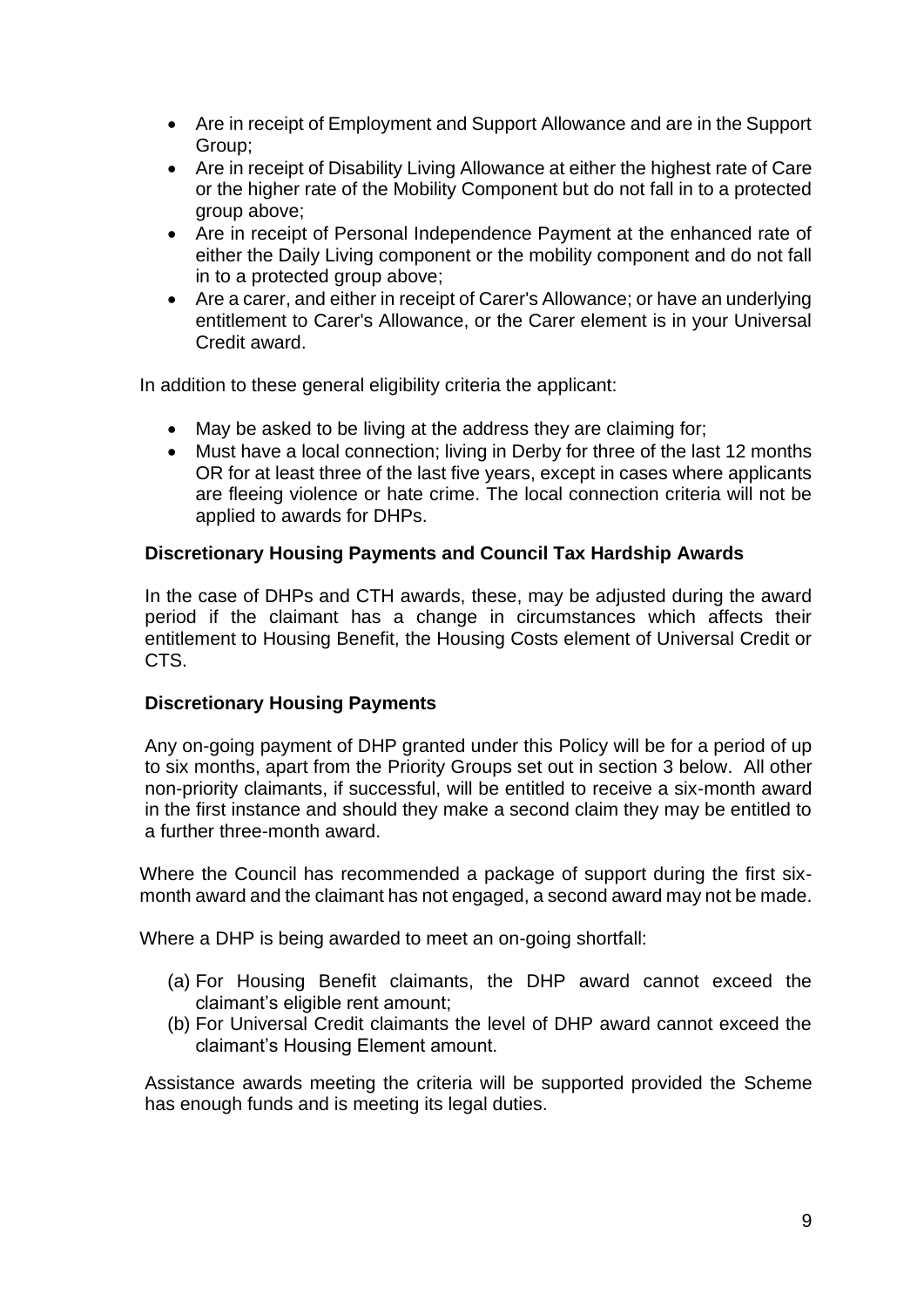- Are in receipt of Employment and Support Allowance and are in the Support Group;
- Are in receipt of Disability Living Allowance at either the highest rate of Care or the higher rate of the Mobility Component but do not fall in to a protected group above;
- Are in receipt of Personal Independence Payment at the enhanced rate of either the Daily Living component or the mobility component and do not fall in to a protected group above;
- Are a carer, and either in receipt of Carer's Allowance; or have an underlying entitlement to Carer's Allowance, or the Carer element is in your Universal Credit award.

In addition to these general eligibility criteria the applicant:

- May be asked to be living at the address they are claiming for;
- Must have a local connection; living in Derby for three of the last 12 months OR for at least three of the last five years, except in cases where applicants are fleeing violence or hate crime. The local connection criteria will not be applied to awards for DHPs.

#### **Discretionary Housing Payments and Council Tax Hardship Awards**

In the case of DHPs and CTH awards, these, may be adjusted during the award period if the claimant has a change in circumstances which affects their entitlement to Housing Benefit, the Housing Costs element of Universal Credit or CTS.

#### **Discretionary Housing Payments**

Any on-going payment of DHP granted under this Policy will be for a period of up to six months, apart from the Priority Groups set out in section 3 below. All other non-priority claimants, if successful, will be entitled to receive a six-month award in the first instance and should they make a second claim they may be entitled to a further three-month award.

Where the Council has recommended a package of support during the first sixmonth award and the claimant has not engaged, a second award may not be made.

Where a DHP is being awarded to meet an on-going shortfall:

- (a) For Housing Benefit claimants, the DHP award cannot exceed the claimant's eligible rent amount;
- (b) For Universal Credit claimants the level of DHP award cannot exceed the claimant's Housing Element amount.

Assistance awards meeting the criteria will be supported provided the Scheme has enough funds and is meeting its legal duties.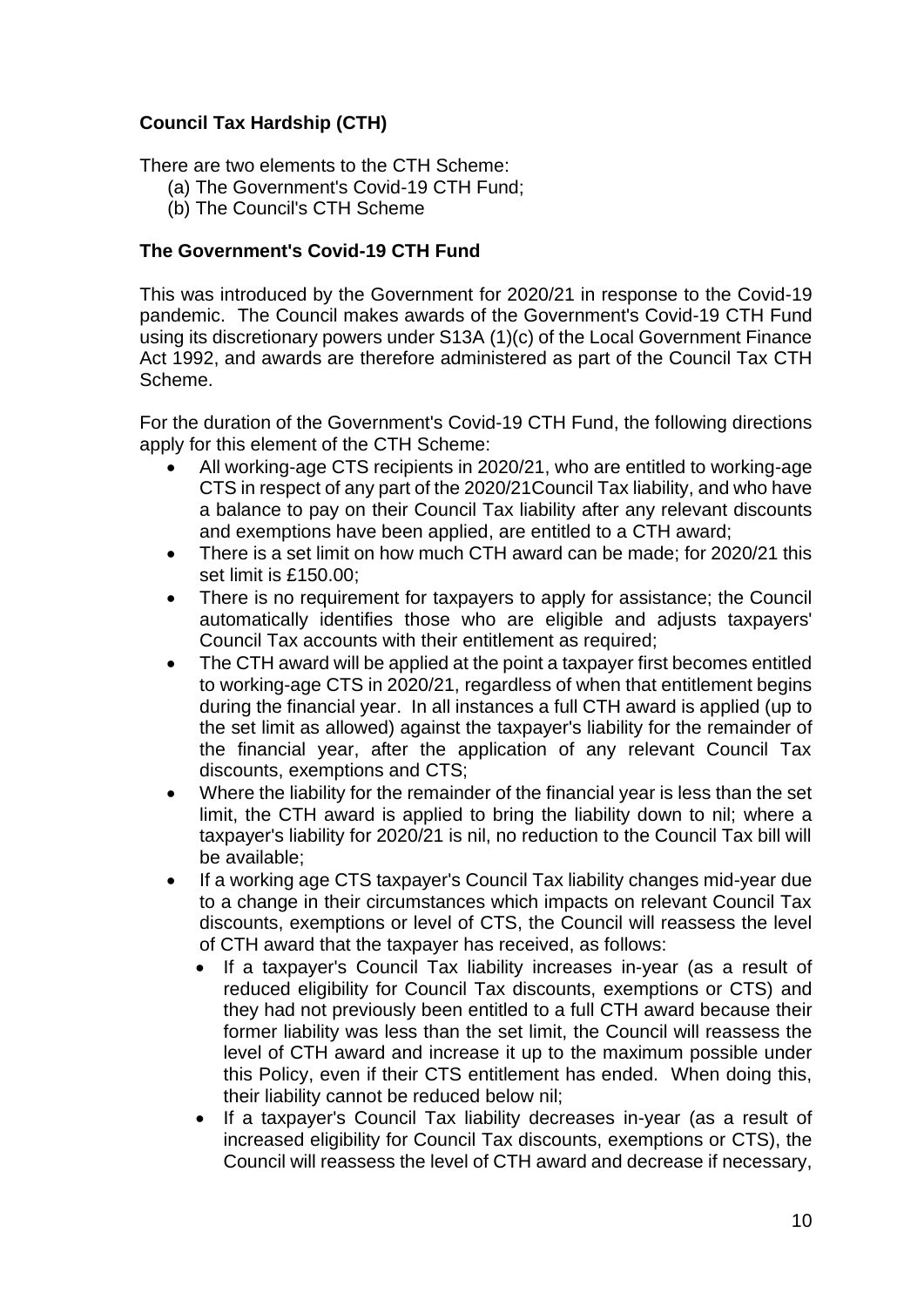## **Council Tax Hardship (CTH)**

There are two elements to the CTH Scheme:

- (a) The Government's Covid-19 CTH Fund;
- (b) The Council's CTH Scheme

## **The Government's Covid-19 CTH Fund**

This was introduced by the Government for 2020/21 in response to the Covid-19 pandemic. The Council makes awards of the Government's Covid-19 CTH Fund using its discretionary powers under S13A (1)(c) of the Local Government Finance Act 1992, and awards are therefore administered as part of the Council Tax CTH Scheme.

For the duration of the Government's Covid-19 CTH Fund, the following directions apply for this element of the CTH Scheme:

- All working-age CTS recipients in 2020/21, who are entitled to working-age CTS in respect of any part of the 2020/21Council Tax liability, and who have a balance to pay on their Council Tax liability after any relevant discounts and exemptions have been applied, are entitled to a CTH award;
- There is a set limit on how much CTH award can be made; for 2020/21 this set limit is £150.00;
- There is no requirement for taxpayers to apply for assistance; the Council automatically identifies those who are eligible and adjusts taxpayers' Council Tax accounts with their entitlement as required;
- The CTH award will be applied at the point a taxpayer first becomes entitled to working-age CTS in 2020/21, regardless of when that entitlement begins during the financial year. In all instances a full CTH award is applied (up to the set limit as allowed) against the taxpayer's liability for the remainder of the financial year, after the application of any relevant Council Tax discounts, exemptions and CTS;
- Where the liability for the remainder of the financial year is less than the set limit, the CTH award is applied to bring the liability down to nil; where a taxpayer's liability for 2020/21 is nil, no reduction to the Council Tax bill will be available;
- If a working age CTS taxpayer's Council Tax liability changes mid-year due to a change in their circumstances which impacts on relevant Council Tax discounts, exemptions or level of CTS, the Council will reassess the level of CTH award that the taxpayer has received, as follows:
	- If a taxpayer's Council Tax liability increases in-year (as a result of reduced eligibility for Council Tax discounts, exemptions or CTS) and they had not previously been entitled to a full CTH award because their former liability was less than the set limit, the Council will reassess the level of CTH award and increase it up to the maximum possible under this Policy, even if their CTS entitlement has ended. When doing this, their liability cannot be reduced below nil;
	- If a taxpayer's Council Tax liability decreases in-year (as a result of increased eligibility for Council Tax discounts, exemptions or CTS), the Council will reassess the level of CTH award and decrease if necessary,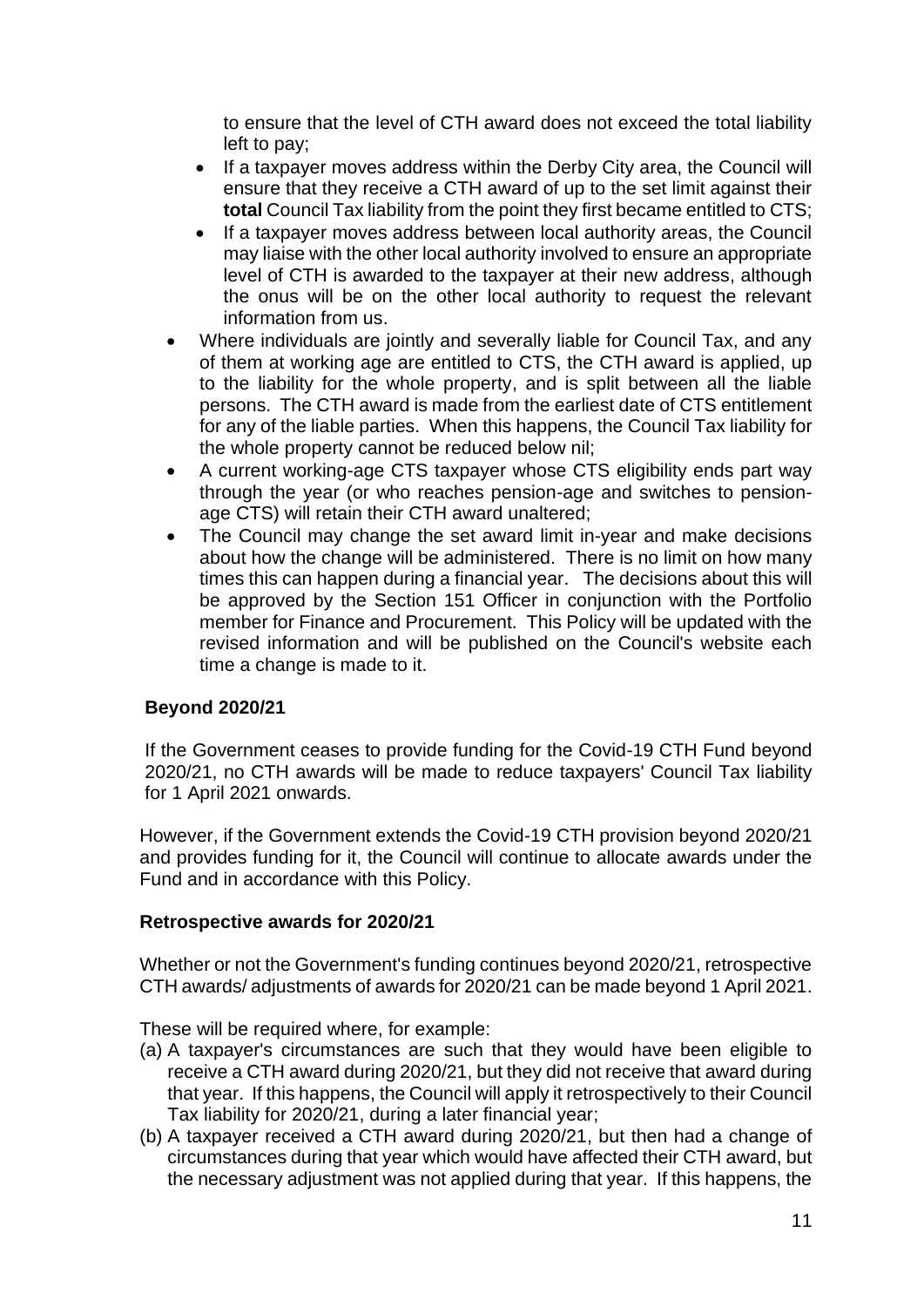to ensure that the level of CTH award does not exceed the total liability left to pay;

- If a taxpayer moves address within the Derby City area, the Council will ensure that they receive a CTH award of up to the set limit against their **total** Council Tax liability from the point they first became entitled to CTS;
- If a taxpayer moves address between local authority areas, the Council may liaise with the other local authority involved to ensure an appropriate level of CTH is awarded to the taxpayer at their new address, although the onus will be on the other local authority to request the relevant information from us.
- Where individuals are jointly and severally liable for Council Tax, and any of them at working age are entitled to CTS, the CTH award is applied, up to the liability for the whole property, and is split between all the liable persons. The CTH award is made from the earliest date of CTS entitlement for any of the liable parties. When this happens, the Council Tax liability for the whole property cannot be reduced below nil;
- A current working-age CTS taxpayer whose CTS eligibility ends part way through the year (or who reaches pension-age and switches to pensionage CTS) will retain their CTH award unaltered;
- The Council may change the set award limit in-year and make decisions about how the change will be administered. There is no limit on how many times this can happen during a financial year. The decisions about this will be approved by the Section 151 Officer in conjunction with the Portfolio member for Finance and Procurement. This Policy will be updated with the revised information and will be published on the Council's website each time a change is made to it.

## **Beyond 2020/21**

If the Government ceases to provide funding for the Covid-19 CTH Fund beyond 2020/21, no CTH awards will be made to reduce taxpayers' Council Tax liability for 1 April 2021 onwards.

However, if the Government extends the Covid-19 CTH provision beyond 2020/21 and provides funding for it, the Council will continue to allocate awards under the Fund and in accordance with this Policy.

#### **Retrospective awards for 2020/21**

Whether or not the Government's funding continues beyond 2020/21, retrospective CTH awards/ adjustments of awards for 2020/21 can be made beyond 1 April 2021.

These will be required where, for example:

- (a) A taxpayer's circumstances are such that they would have been eligible to receive a CTH award during 2020/21, but they did not receive that award during that year. If this happens, the Council will apply it retrospectively to their Council Tax liability for 2020/21, during a later financial year;
- (b) A taxpayer received a CTH award during 2020/21, but then had a change of circumstances during that year which would have affected their CTH award, but the necessary adjustment was not applied during that year. If this happens, the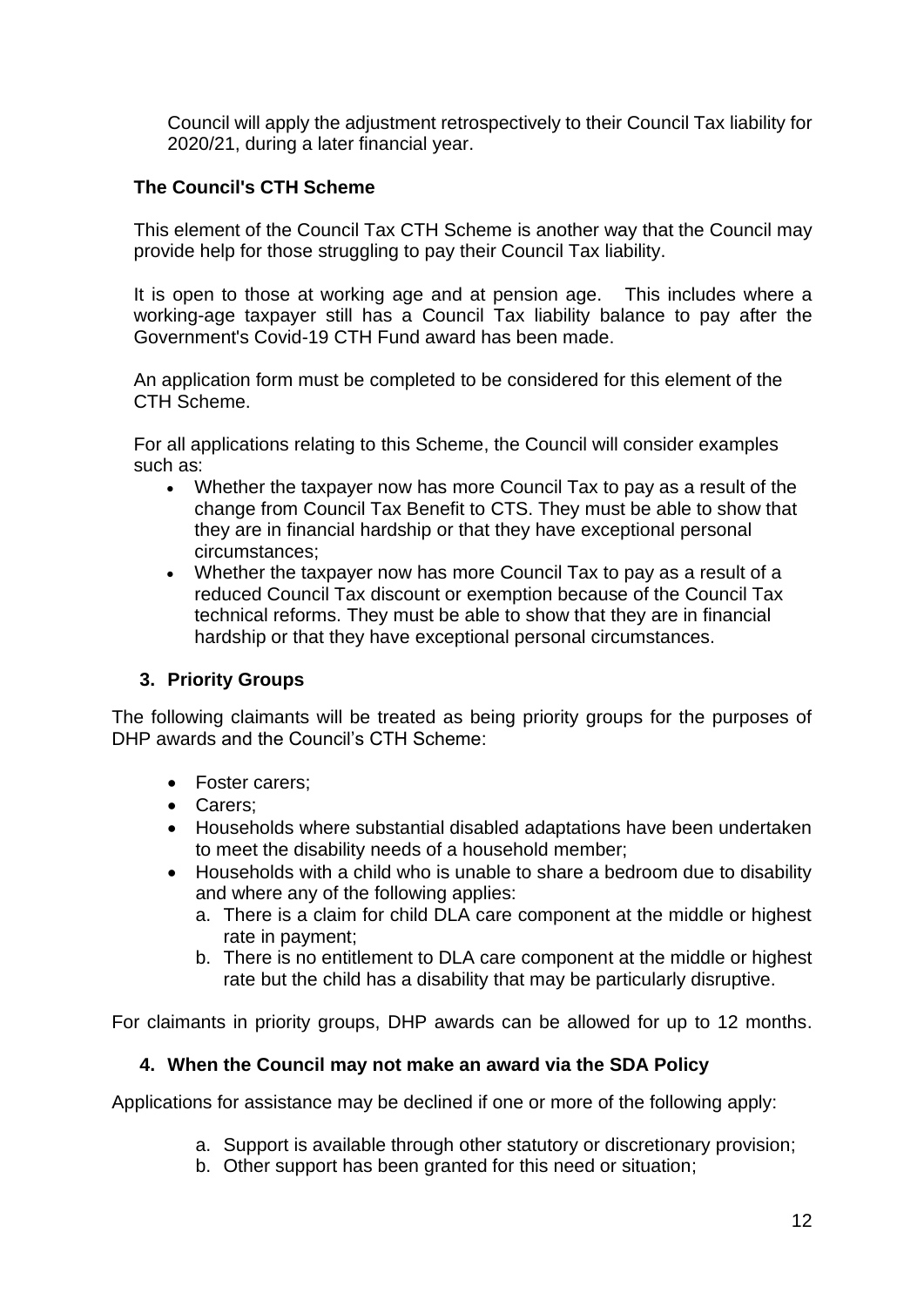Council will apply the adjustment retrospectively to their Council Tax liability for 2020/21, during a later financial year.

## **The Council's CTH Scheme**

This element of the Council Tax CTH Scheme is another way that the Council may provide help for those struggling to pay their Council Tax liability.

It is open to those at working age and at pension age. This includes where a working-age taxpayer still has a Council Tax liability balance to pay after the Government's Covid-19 CTH Fund award has been made.

An application form must be completed to be considered for this element of the CTH Scheme.

For all applications relating to this Scheme, the Council will consider examples such as:

- Whether the taxpayer now has more Council Tax to pay as a result of the change from Council Tax Benefit to CTS. They must be able to show that they are in financial hardship or that they have exceptional personal circumstances;
- Whether the taxpayer now has more Council Tax to pay as a result of a reduced Council Tax discount or exemption because of the Council Tax technical reforms. They must be able to show that they are in financial hardship or that they have exceptional personal circumstances.

## **3. Priority Groups**

The following claimants will be treated as being priority groups for the purposes of DHP awards and the Council's CTH Scheme:

- Foster carers;
- Carers;
- Households where substantial disabled adaptations have been undertaken to meet the disability needs of a household member;
- Households with a child who is unable to share a bedroom due to disability and where any of the following applies:
	- a. There is a claim for child DLA care component at the middle or highest rate in payment;
	- b. There is no entitlement to DLA care component at the middle or highest rate but the child has a disability that may be particularly disruptive.

For claimants in priority groups, DHP awards can be allowed for up to 12 months.

## **4. When the Council may not make an award via the SDA Policy**

Applications for assistance may be declined if one or more of the following apply:

- a. Support is available through other statutory or discretionary provision;
- b. Other support has been granted for this need or situation;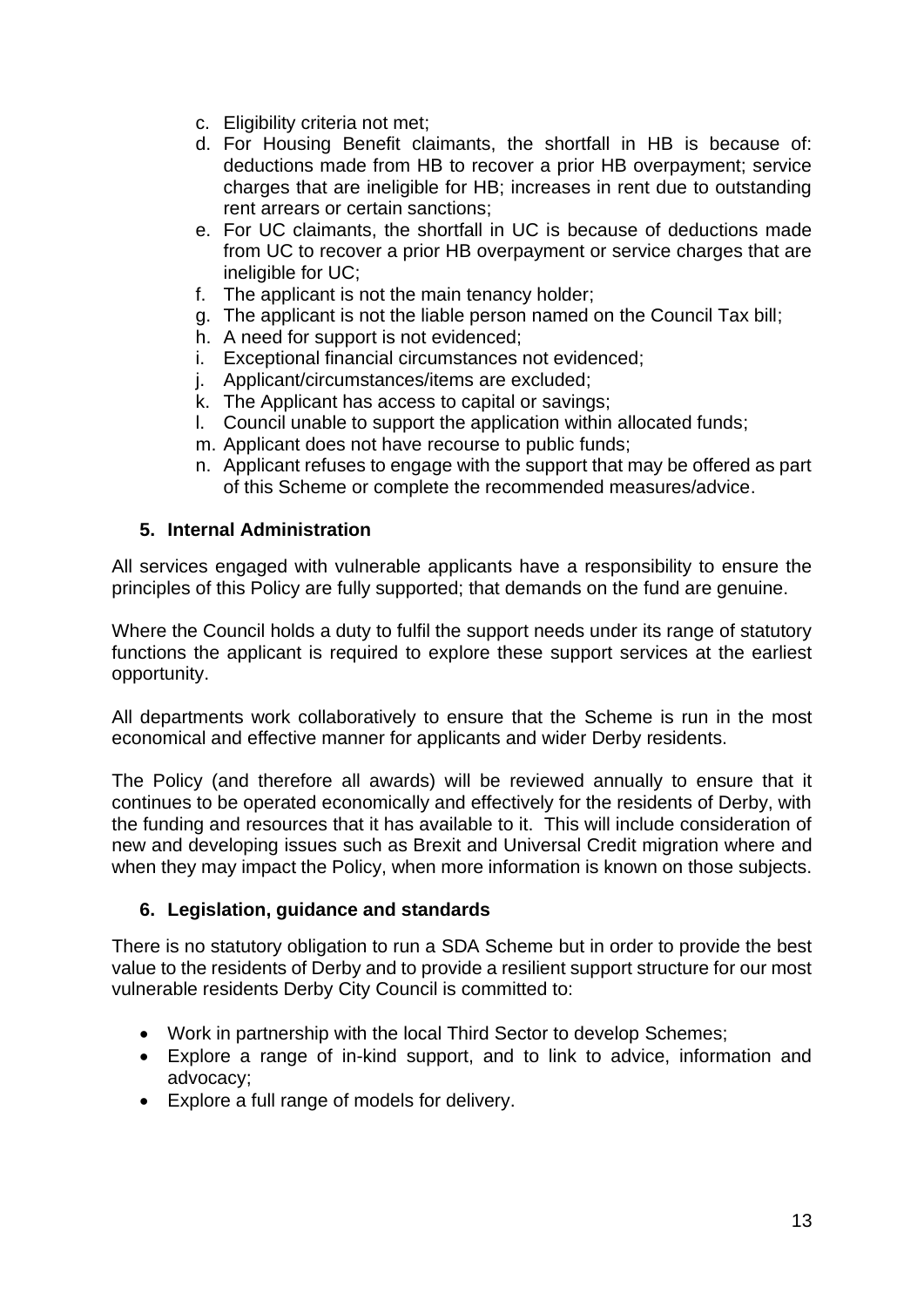- c. Eligibility criteria not met;
- d. For Housing Benefit claimants, the shortfall in HB is because of: deductions made from HB to recover a prior HB overpayment; service charges that are ineligible for HB; increases in rent due to outstanding rent arrears or certain sanctions;
- e. For UC claimants, the shortfall in UC is because of deductions made from UC to recover a prior HB overpayment or service charges that are ineligible for UC;
- f. The applicant is not the main tenancy holder;
- g. The applicant is not the liable person named on the Council Tax bill;
- h. A need for support is not evidenced;
- i. Exceptional financial circumstances not evidenced;
- j. Applicant/circumstances/items are excluded;
- k. The Applicant has access to capital or savings;
- l. Council unable to support the application within allocated funds;
- m. Applicant does not have recourse to public funds;
- n. Applicant refuses to engage with the support that may be offered as part of this Scheme or complete the recommended measures/advice.

#### **5. Internal Administration**

All services engaged with vulnerable applicants have a responsibility to ensure the principles of this Policy are fully supported; that demands on the fund are genuine.

Where the Council holds a duty to fulfil the support needs under its range of statutory functions the applicant is required to explore these support services at the earliest opportunity.

All departments work collaboratively to ensure that the Scheme is run in the most economical and effective manner for applicants and wider Derby residents.

The Policy (and therefore all awards) will be reviewed annually to ensure that it continues to be operated economically and effectively for the residents of Derby, with the funding and resources that it has available to it. This will include consideration of new and developing issues such as Brexit and Universal Credit migration where and when they may impact the Policy, when more information is known on those subjects.

#### **6. Legislation, guidance and standards**

There is no statutory obligation to run a SDA Scheme but in order to provide the best value to the residents of Derby and to provide a resilient support structure for our most vulnerable residents Derby City Council is committed to:

- Work in partnership with the local Third Sector to develop Schemes;
- Explore a range of in-kind support, and to link to advice, information and advocacy;
- Explore a full range of models for delivery.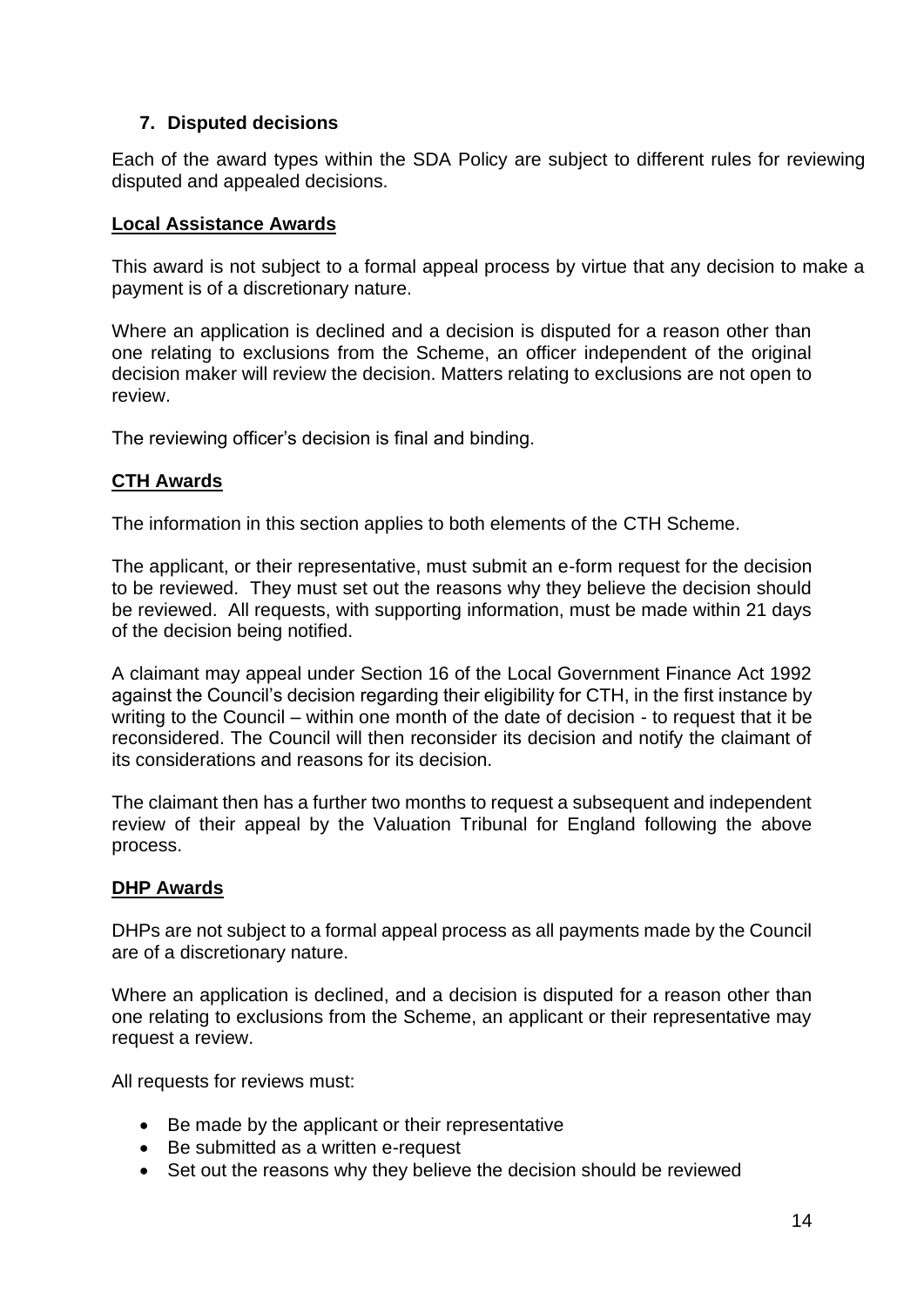## **7. Disputed decisions**

Each of the award types within the SDA Policy are subject to different rules for reviewing disputed and appealed decisions.

## **Local Assistance Awards**

This award is not subject to a formal appeal process by virtue that any decision to make a payment is of a discretionary nature.

Where an application is declined and a decision is disputed for a reason other than one relating to exclusions from the Scheme, an officer independent of the original decision maker will review the decision. Matters relating to exclusions are not open to review.

The reviewing officer's decision is final and binding.

## **CTH Awards**

The information in this section applies to both elements of the CTH Scheme.

The applicant, or their representative, must submit an e-form request for the decision to be reviewed. They must set out the reasons why they believe the decision should be reviewed. All requests, with supporting information, must be made within 21 days of the decision being notified.

A claimant may appeal under Section 16 of the Local Government Finance Act 1992 against the Council's decision regarding their eligibility for CTH, in the first instance by writing to the Council – within one month of the date of decision - to request that it be reconsidered. The Council will then reconsider its decision and notify the claimant of its considerations and reasons for its decision.

The claimant then has a further two months to request a subsequent and independent review of their appeal by the Valuation Tribunal for England following the above process.

## **DHP Awards**

DHPs are not subject to a formal appeal process as all payments made by the Council are of a discretionary nature.

Where an application is declined, and a decision is disputed for a reason other than one relating to exclusions from the Scheme, an applicant or their representative may request a review.

All requests for reviews must:

- Be made by the applicant or their representative
- Be submitted as a written e-request
- Set out the reasons why they believe the decision should be reviewed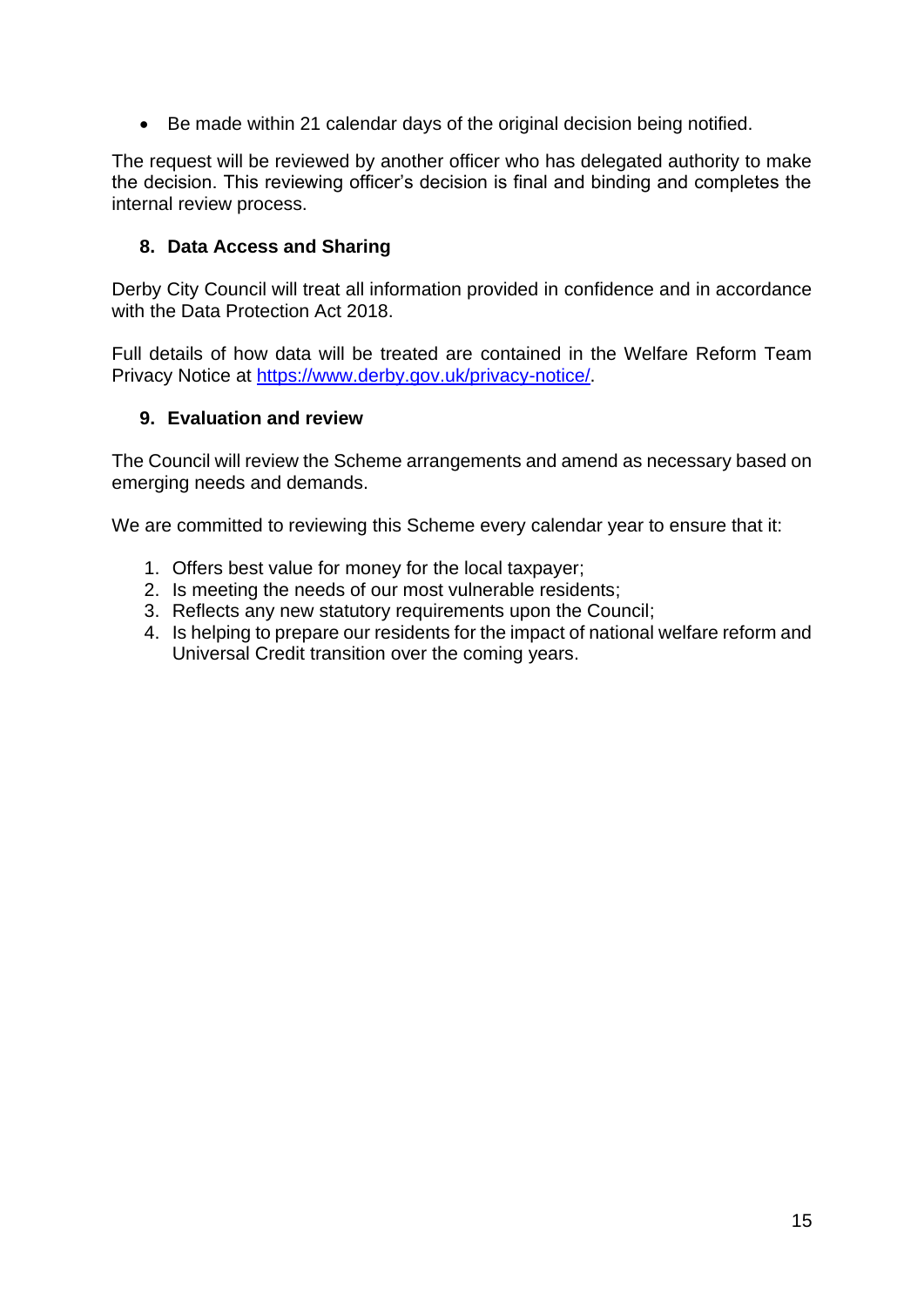• Be made within 21 calendar days of the original decision being notified.

The request will be reviewed by another officer who has delegated authority to make the decision. This reviewing officer's decision is final and binding and completes the internal review process.

#### **8. Data Access and Sharing**

Derby City Council will treat all information provided in confidence and in accordance with the Data Protection Act 2018.

Full details of how data will be treated are contained in the Welfare Reform Team Privacy Notice at [https://www.derby.gov.uk/privacy-notice/.](https://www.derby.gov.uk/privacy-notice/)

#### **9. Evaluation and review**

The Council will review the Scheme arrangements and amend as necessary based on emerging needs and demands.

We are committed to reviewing this Scheme every calendar year to ensure that it:

- 1. Offers best value for money for the local taxpayer;
- 2. Is meeting the needs of our most vulnerable residents;
- 3. Reflects any new statutory requirements upon the Council;
- 4. Is helping to prepare our residents for the impact of national welfare reform and Universal Credit transition over the coming years.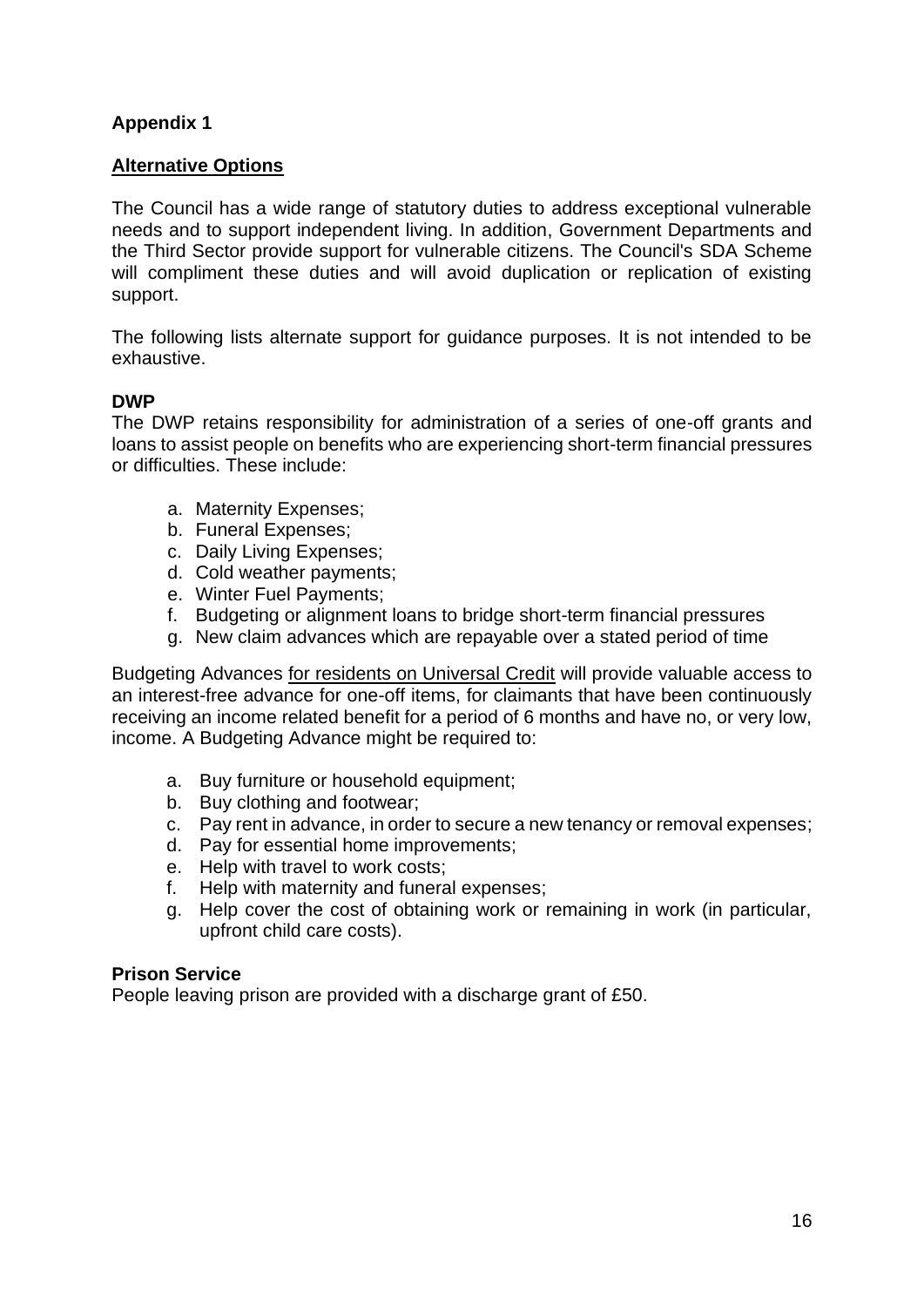# **Appendix 1**

#### **Alternative Options**

The Council has a wide range of statutory duties to address exceptional vulnerable needs and to support independent living. In addition, Government Departments and the Third Sector provide support for vulnerable citizens. The Council's SDA Scheme will compliment these duties and will avoid duplication or replication of existing support.

The following lists alternate support for guidance purposes. It is not intended to be exhaustive.

#### **DWP**

The DWP retains responsibility for administration of a series of one-off grants and loans to assist people on benefits who are experiencing short-term financial pressures or difficulties. These include:

- a. Maternity Expenses;
- b. Funeral Expenses;
- c. Daily Living Expenses;
- d. Cold weather payments;
- e. Winter Fuel Payments;
- f. Budgeting or alignment loans to bridge short-term financial pressures
- g. New claim advances which are repayable over a stated period of time

Budgeting Advances for residents on Universal Credit will provide valuable access to an interest-free advance for one-off items, for claimants that have been continuously receiving an income related benefit for a period of 6 months and have no, or very low, income. A Budgeting Advance might be required to:

- a. Buy furniture or household equipment;
- b. Buy clothing and footwear;
- c. Pay rent in advance, in order to secure a new tenancy or removal expenses;
- d. Pay for essential home improvements;
- e. Help with travel to work costs;
- f. Help with maternity and funeral expenses;
- g. Help cover the cost of obtaining work or remaining in work (in particular, upfront child care costs).

#### **Prison Service**

People leaving prison are provided with a discharge grant of £50.